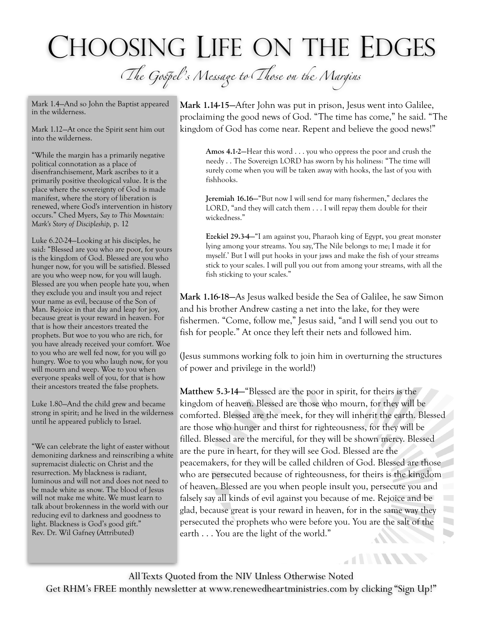## CHOOSING LIFE ON THE EDGES

T*e Go*s*el 's M*e*sa*g *to* T*ose on* t *Margins*

Mark 1.4—And so John the Baptist appeared in the wilderness.

Mark 1.12—At once the Spirit sent him out into the wilderness.

"While the margin has a primarily negative political connotation as a place of disenfranchisement, Mark ascribes to it a primarily positive theological value. It is the place where the sovereignty of God is made manifest, where the story of liberation is renewed, where God's intervention in history occurs." Ched Myers, *Say to This Mountain: Mark's Story of Discipleship,* p. 12

Luke 6.20-24—Looking at his disciples, he said: "Blessed are you who are poor, for yours is the kingdom of God. Blessed are you who hunger now, for you will be satisfied. Blessed are you who weep now, for you will laugh. Blessed are you when people hate you, when they exclude you and insult you and reject your name as evil, because of the Son of Man. Rejoice in that day and leap for joy, because great is your reward in heaven. For that is how their ancestors treated the prophets. But woe to you who are rich, for you have already received your comfort. Woe to you who are well fed now, for you will go hungry. Woe to you who laugh now, for you will mourn and weep. Woe to you when everyone speaks well of you, for that is how their ancestors treated the false prophets.

Luke 1.80—And the child grew and became strong in spirit; and he lived in the wilderness until he appeared publicly to Israel.

"We can celebrate the light of easter without demonizing darkness and reinscribing a white supremacist dialectic on Christ and the resurrection. My blackness is radiant, luminous and will not and does not need to be made white as snow. The blood of Jesus will not make me white. We must learn to talk about brokenness in the world with our reducing evil to darkness and goodness to light. Blackness is God's good gift." Rev. Dr. Wil Gafney (Attributed)

**Mark 1.14-15—**After John was put in prison, Jesus went into Galilee, proclaiming the good news of God. "The time has come," he said. "The kingdom of God has come near. Repent and believe the good news!"

**Amos 4.1-2—**Hear this word . . . you who oppress the poor and crush the needy . . The Sovereign LORD has sworn by his holiness: "The time will surely come when you will be taken away with hooks, the last of you with fishhooks.

**Jeremiah 16.16—**"But now I will send for many fishermen," declares the LORD, "and they will catch them . . . I will repay them double for their wickedness."

**Ezekiel 29.3-4—**"I am against you, Pharaoh king of Egypt, you great monster lying among your streams. You say,'The Nile belongs to me; I made it for myself.' But I will put hooks in your jaws and make the fish of your streams stick to your scales. I will pull you out from among your streams, with all the fish sticking to your scales."

**Mark 1.16-18—**As Jesus walked beside the Sea of Galilee, he saw Simon and his brother Andrew casting a net into the lake, for they were fishermen. "Come, follow me," Jesus said, "and I will send you out to fish for people." At once they left their nets and followed him.

(Jesus summons working folk to join him in overturning the structures of power and privilege in the world!)

**Matthew 5.3-14—**"Blessed are the poor in spirit, for theirs is the kingdom of heaven. Blessed are those who mourn, for they will be comforted. Blessed are the meek, for they will inherit the earth. Blessed are those who hunger and thirst for righteousness, for they will be filled. Blessed are the merciful, for they will be shown mercy. Blessed are the pure in heart, for they will see God. Blessed are the peacemakers, for they will be called children of God. Blessed are those who are persecuted because of righteousness, for theirs is the kingdom of heaven. Blessed are you when people insult you, persecute you and falsely say all kinds of evil against you because of me. Rejoice and be glad, because great is your reward in heaven, for in the same way they persecuted the prophets who were before you. You are the salt of the earth . . . You are the light of the world."  $\blacksquare$ 

**ATTITUDES** 

All Texts Quoted from the NIV Unless Otherwise Noted Get RHM's FREE monthly newsletter at [www.renewedheartministries.com](http://www.renewedheartministries.com) by clicking "Sign Up!"